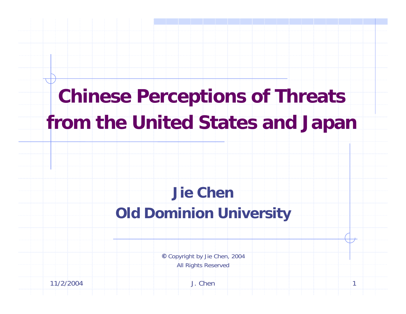# **Chinese Perceptions of Threats from the United States and Japan**

## **Jie ChenOld Dominion University**

**©** Copyright by Jie Chen, 2004 All Rights Reserved

11/2/2004 J. Chen 1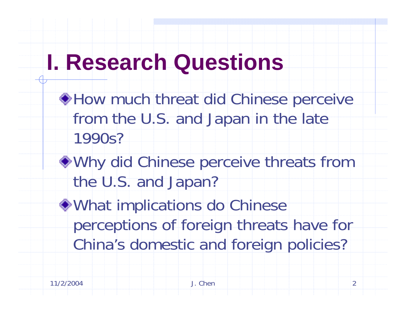# **I. Research Questions**

- ◆ How much threat did Chinese perceive from the U.S. and Japan in the late 1990s?
- Why did Chinese perceive threats from the U.S. and Japan?
- What implications do Chinese perceptions of foreign threats have for China's domestic and foreign policies?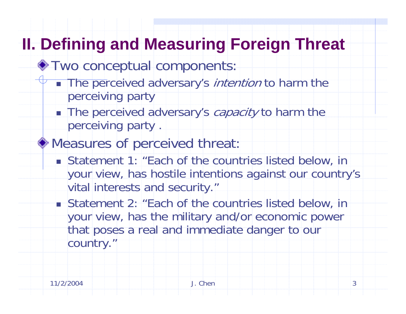## **II. Defining and Measuring Foreign Threat**

- $\bullet$  Two conceptual components:
	- **The perceived adversary's** *intention* **to harm the** perceiving party
	- **The perceived adversary's capacity to harm the** perceiving party .
- Measures of perceived threat:
	- Statement 1: "Each of the countries listed below, in your view, has hostile intentions against our country's vital interests and security."
	- Statement 2: "Each of the countries listed below, in your view, has the military and/or economic power that poses a real and immediate danger to our country."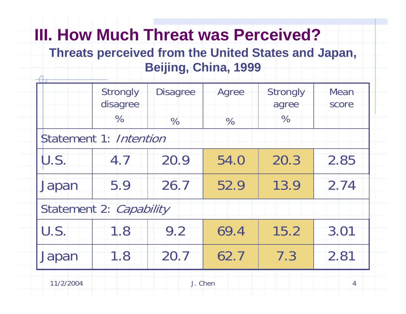# **III. How Much Threat was Perceived?**

#### **Threats perceived from the United States and Japan, Beijing, China, 1999**

|           | Strongly<br>disagree<br>$\%$ | <b>Disagree</b> | Agree | Strongly<br>agree<br>$\%$ | Mean<br>score  |
|-----------|------------------------------|-----------------|-------|---------------------------|----------------|
|           | Statement 1: Intention       | $\%$            | $\%$  |                           |                |
| U.S.      | 4.7                          | 20.9            | 54.0  | 20.3                      | 2.85           |
| Japan     | 5.9                          | 26.7            | 52.9  | 13.9                      | 2.74           |
|           | Statement 2: Capability      |                 |       |                           |                |
| U.S.      | 1.8                          | 9.2             | 69.4  | 15.2                      | 3.01           |
| Japan     | 1.8                          | 20.7            | 62.7  | 7.3                       | 2.81           |
| 11/2/2004 |                              | J. Chen         |       |                           | $\overline{4}$ |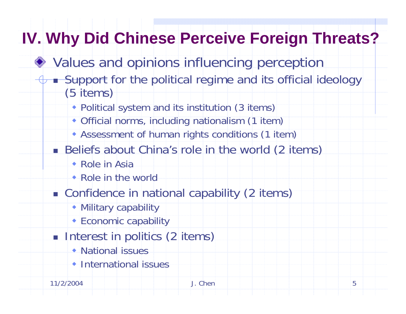# **IV. Why Did Chinese Perceive Foreign Threats?**

- ◆ Values and opinions influencing perception
	- **Support** for the political regime and its official ideology (5 items)
		- Political system and its institution (3 items)
		- Official norms, including nationalism (1 item)
		- Assessment of human rights conditions (1 item)
		- **Beliefs about China's role in the world (2 items)** 
			- Role in Asia
			- Role in the world
		- **Confidence in national capability (2 items)** 
			- Military capability
			- Economic capability
		- **Interest in politics (2 items)** 
			- National issues
			- International issues

11/2/2004 J. Chen 5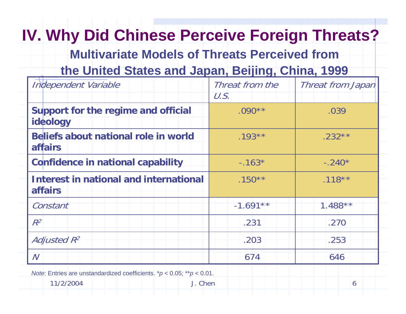# **IV. Why Did Chinese Perceive Foreign Threats?**

**Multivariate Models of Threats Perceived from** 

### **the United States and Japan, Beijing, China, 1999**

| Independent Variable                                            | Threat from the<br>U.S. | Threat from Japan |
|-----------------------------------------------------------------|-------------------------|-------------------|
| Support for the regime and official<br>ideology                 | $.090**$                | .039              |
| <b>Beliefs about national role in world</b><br><b>affairs</b>   | $.193***$               | $.232**$          |
| <b>Confidence in national capability</b>                        | $-.163*$                | $-.240*$          |
| <b>Interest in national and international</b><br><b>affairs</b> | $.150**$                | $.118***$         |
| Constant                                                        | $-1.691**$              | $1.488**$         |
| $R^2$                                                           | .231                    | .270              |
| <b>Adjusted R2</b>                                              | .203                    | .253              |
| $\overline{N}$                                                  | 674                     | 646               |